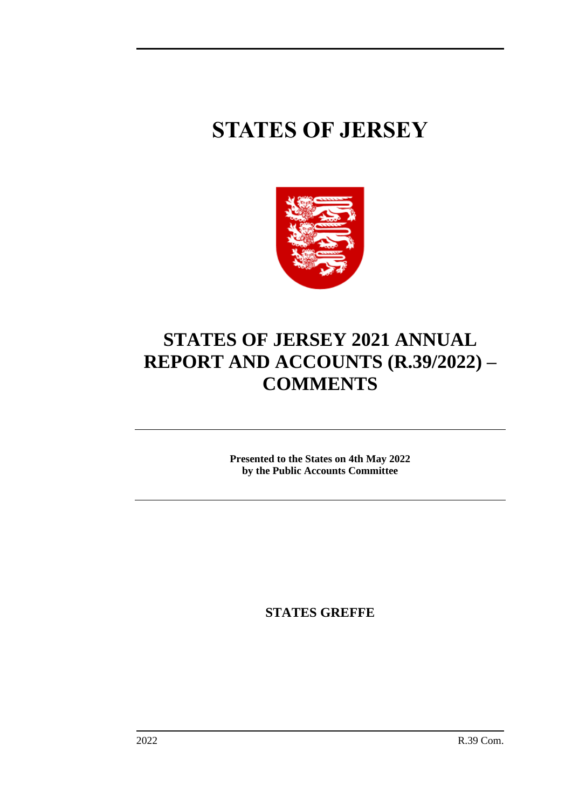# **STATES OF JERSEY**



## **STATES OF JERSEY 2021 ANNUAL REPORT AND ACCOUNTS (R.39/2022) – COMMENTS**

**Presented to the States on 4th May 2022 by the Public Accounts Committee**

**STATES GREFFE**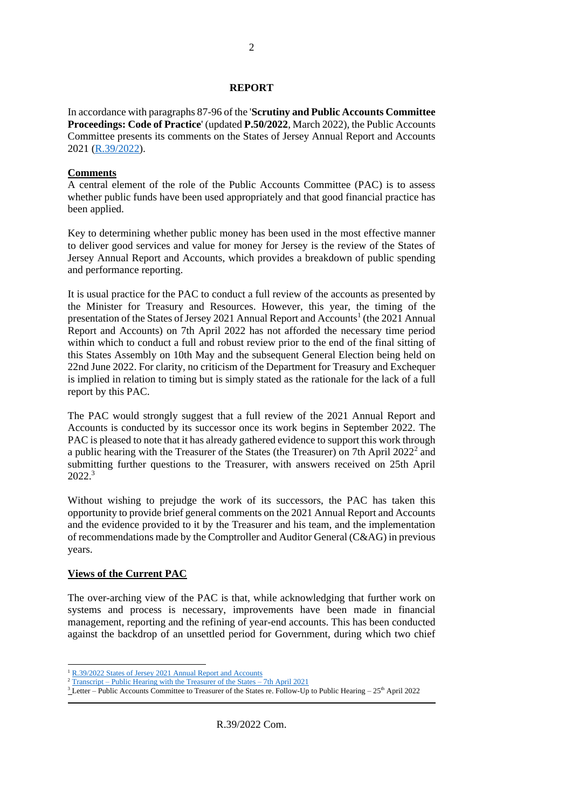#### **REPORT**

In accordance with paragraphs 87-96 of the '**Scrutiny and Public Accounts Committee Proceedings: Code of Practice**' (updated **P.50/2022**, March 2022), the Public Accounts Committee presents its comments on the States of Jersey Annual Report and Accounts 2021 [\(R.39/2022\)](https://statesassembly.gov.je/assemblyreports/2022/r.39-2022.pdf).

#### **Comments**

A central element of the role of the Public Accounts Committee (PAC) is to assess whether public funds have been used appropriately and that good financial practice has been applied.

Key to determining whether public money has been used in the most effective manner to deliver good services and value for money for Jersey is the review of the States of Jersey Annual Report and Accounts, which provides a breakdown of public spending and performance reporting.

It is usual practice for the PAC to conduct a full review of the accounts as presented by the Minister for Treasury and Resources. However, this year, the timing of the presentation of the States of Jersey 2021 Annual Report and Accounts<sup>1</sup> (the 2021 Annual Report and Accounts) on 7th April 2022 has not afforded the necessary time period within which to conduct a full and robust review prior to the end of the final sitting of this States Assembly on 10th May and the subsequent General Election being held on 22nd June 2022. For clarity, no criticism of the Department for Treasury and Exchequer is implied in relation to timing but is simply stated as the rationale for the lack of a full report by this PAC.

The PAC would strongly suggest that a full review of the 2021 Annual Report and Accounts is conducted by its successor once its work begins in September 2022. The PAC is pleased to note that it has already gathered evidence to support this work through a public hearing with the Treasurer of the States (the Treasurer) on 7th April  $2022<sup>2</sup>$  and submitting further questions to the Treasurer, with answers received on 25th April 2022.<sup>3</sup>

Without wishing to prejudge the work of its successors, the PAC has taken this opportunity to provide brief general comments on the 2021 Annual Report and Accounts and the evidence provided to it by the Treasurer and his team, and the implementation of recommendations made by the Comptroller and Auditor General (C&AG) in previous years.

#### **Views of the Current PAC**

The over-arching view of the PAC is that, while acknowledging that further work on systems and process is necessary, improvements have been made in financial management, reporting and the refining of year-end accounts. This has been conducted against the backdrop of an unsettled period for Government, during which two chief

<sup>&</sup>lt;sup>1</sup> [R.39/2022 States of Jersey 2021 Annual Report and Accounts](https://statesassembly.gov.je/assemblyreports/2022/r.39-2022.pdf)

<sup>2</sup> Transcript – [Public Hearing with the Treasurer of the States –](https://statesassembly.gov.je/scrutinyreviewtranscripts/2022/transcript%20-%20states%20annual%20report%20and%20accounts%20-%20estate%20management%20-treasurer%20of%20the%20states%20and%20director%20general%20for%20ihe.pdf) 7th April 2021

 $3$  Letter – Public Accounts Committee to Treasurer of the States re. Follow-Up to Public Hearing – 25<sup>th</sup> April 2022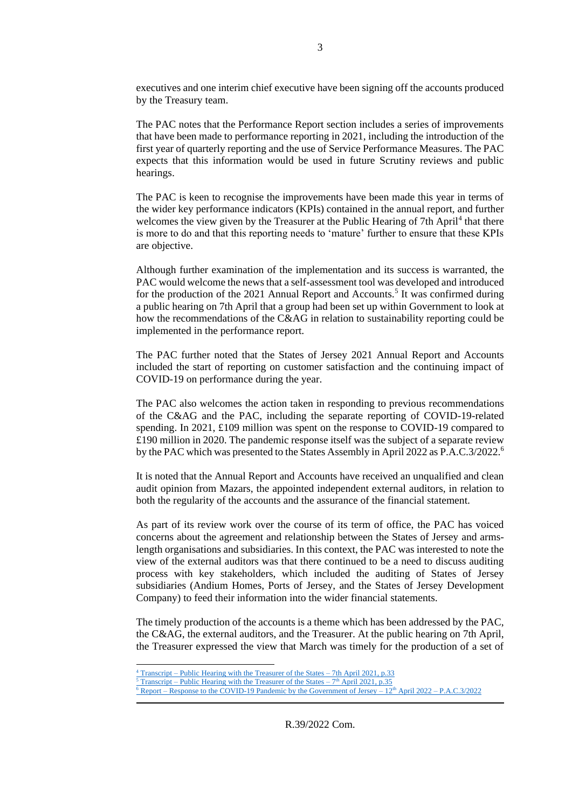executives and one interim chief executive have been signing off the accounts produced by the Treasury team.

The PAC notes that the Performance Report section includes a series of improvements that have been made to performance reporting in 2021, including the introduction of the first year of quarterly reporting and the use of Service Performance Measures. The PAC expects that this information would be used in future Scrutiny reviews and public hearings.

The PAC is keen to recognise the improvements have been made this year in terms of the wider key performance indicators (KPIs) contained in the annual report, and further welcomes the view given by the Treasurer at the Public Hearing of 7th April<sup>4</sup> that there is more to do and that this reporting needs to 'mature' further to ensure that these KPIs are objective.

Although further examination of the implementation and its success is warranted, the PAC would welcome the news that a self-assessment tool was developed and introduced for the production of the 2021 Annual Report and Accounts.<sup>5</sup> It was confirmed during a public hearing on 7th April that a group had been set up within Government to look at how the recommendations of the C&AG in relation to sustainability reporting could be implemented in the performance report.

The PAC further noted that the States of Jersey 2021 Annual Report and Accounts included the start of reporting on customer satisfaction and the continuing impact of COVID-19 on performance during the year.

The PAC also welcomes the action taken in responding to previous recommendations of the C&AG and the PAC, including the separate reporting of COVID-19-related spending. In 2021, £109 million was spent on the response to COVID-19 compared to £190 million in 2020. The pandemic response itself was the subject of a separate review by the PAC which was presented to the States Assembly in April 2022 as P.A.C.3/2022.<sup>6</sup>

It is noted that the Annual Report and Accounts have received an unqualified and clean audit opinion from Mazars, the appointed independent external auditors, in relation to both the regularity of the accounts and the assurance of the financial statement.

As part of its review work over the course of its term of office, the PAC has voiced concerns about the agreement and relationship between the States of Jersey and armslength organisations and subsidiaries. In this context, the PAC was interested to note the view of the external auditors was that there continued to be a need to discuss auditing process with key stakeholders, which included the auditing of States of Jersey subsidiaries (Andium Homes, Ports of Jersey, and the States of Jersey Development Company) to feed their information into the wider financial statements.

The timely production of the accounts is a theme which has been addressed by the PAC, the C&AG, the external auditors, and the Treasurer. At the public hearing on 7th April, the Treasurer expressed the view that March was timely for the production of a set of

 $4$  Transcript – [Public Hearing with the Treasurer of the States –](https://statesassembly.gov.je/scrutinyreviewtranscripts/2022/transcript%20-%20states%20annual%20report%20and%20accounts%20-%20estate%20management%20-treasurer%20of%20the%20states%20and%20director%20general%20for%20ihe.pdf) 7th April 2021, p.33

 $\frac{5}{5}$  Transcript – [Public Hearing with the Treasurer of the States –](https://statesassembly.gov.je/scrutinyreviewtranscripts/2022/transcript%20-%20states%20annual%20report%20and%20accounts%20-%20estate%20management%20-treasurer%20of%20the%20states%20and%20director%20general%20for%20ihe.pdf)  $7<sup>th</sup>$  April 2021, p.35

 $6$  Report – [Response to the COVID-19 Pandemic by the Government of Jersey –](https://statesassembly.gov.je/scrutinyreports/2022/p.a.c.3%202022%20-%20response%20to%20the%20covid-19%20pandemic%20by%20the%20government%20of%20jersey.pdf)  $12<sup>th</sup>$  April 2022 – P.A.C.3/2022